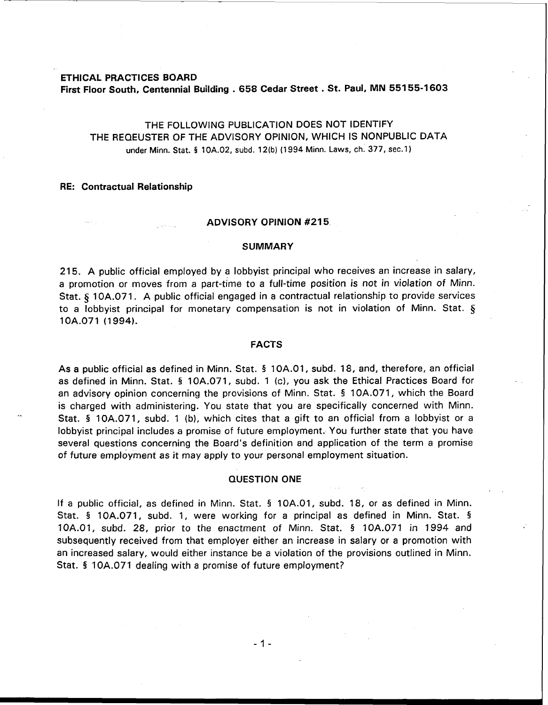### **ETHICAL PRACTICES BOARD**

**First Floor South, Centennial Building** . **658 Cedar Street** . **St. Paul, MN 551 55-1 603** 

# THE FOLLOWING PUBLICATION DOES NOT IDENTIFY THE REQEUSTER OF THE ADVISORY OPINION, WHICH IS NONPUBLIC DATA under Minn. **Stat.** § **10A.02, subd. 12(b) (1 994** Minn. **Laws, ch.** 377, **sec.1)**

### **RE: Contractual Relationship**

#### **ADVISORY OPINION #215**

#### **SUMMARY**

215. A public official employed by a lobbyist principal who receives an increase in salary, a promotion or moves from a part-time to a full-time position is not in violation of Minn. Stat. **5** 10A.071. A public official engaged in a contractual relationship to provide services to a lobbyist principal for monetary compensation is not in violation of Minn. Stat. § 1 OA.071 (1 994).

### **FACTS**

As a public official as defined in Minn. Stat. **5** 1 OA.O1, subd. 18, and, therefore, an official as defined in Minn. Stat. § 10A.071, subd. 1 (c), you ask the Ethical Practices Board for an advisory opinion concerning the provisions of Minn. Stat. § 10A.071, which the Board is charged with administering. You state that you are specifically concerned with Minn. Stat. **5** 10A.071, subd. 1 (b), which cites that a gift to an official from a lobbyist or a lobbyist principal includes a promise of future employment. You further state that you have several questions concerning the Board's definition and application of the term a promise of future employment as it may apply to your personal employment situation.

### **QUESTION ONE**

If a public official, as defined in Minn. Stat. § 10A.01, subd. 18, or as defined in Minn. Stat. § 10A.071, subd. 1, were working for a principal as defined in Minn. Stat. § 10A.01, subd. 28, prior to the enactment of Minn. Stat. § 10A.071 in 1994 and subsequently received from that employer either an increase in salary or a promotion with an increased salary, would either instance be a violation of the provisions outlined in Minn. Stat. § 10A.071 dealing with a promise of future employment?

 $-1 -$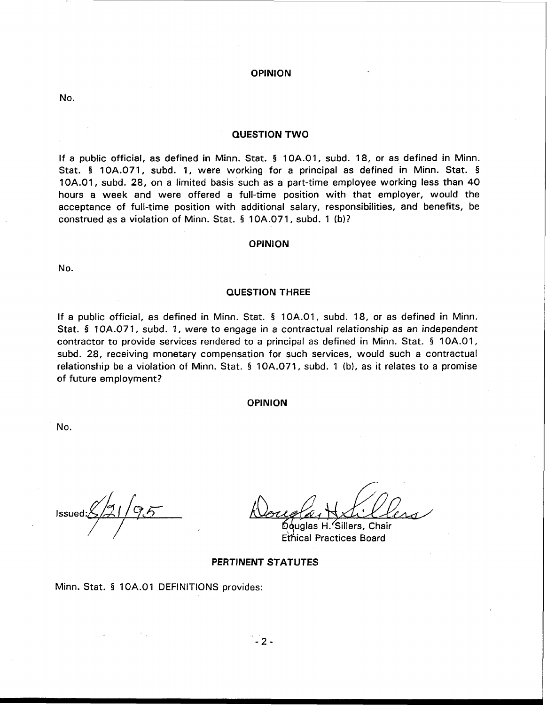# **OPINION**

No.

### **QUESTION TWO**

If a public official, as defined in Minn. Stat. § 10A.O1, subd. 18, or as defined in Minn. Stat. § 10A.071, subd. 1, were working for a principal as defined in Minn. Stat. § 10A.01, subd. 28, on a limited basis such as a part-time employee working less than 40 hours a week and were offered a full-time position with that employer, would the acceptance of full-time position with additional salary, responsibilities, and benefits, be construed as a violation of Minn. Stat. **5** 10A.071, subd. 1 (b)?

### **OPINION**

No.

# **QUESTION THREE**

If a public official, as defined in Minn. Stat. § 1 OA.O1, subd. 18, or as defined in Minn. Stat. § 10A.071, subd. 1, were to engage in a contractual relationship as an independent contractor to provide services rendered to a principal as defined in Minn. Stat. § 1 OA.O1, subd. 28, receiving monetary compensation for such services, would such a contractual relationship be a violation of Minn. Stat. § 10A.071, subd. 1 (b), as it relates to a promise of future employment?

### **OPINION**

No.

Issued:  $\frac{2}{21}$   $\frac{6}{5}$ 

uglas H.'Sillers. Chair **Ethical Practices Board** 

### **PERTINENT STATUTES**

Minn. Stat. § 1 OA.O1 DEFINITIONS provides: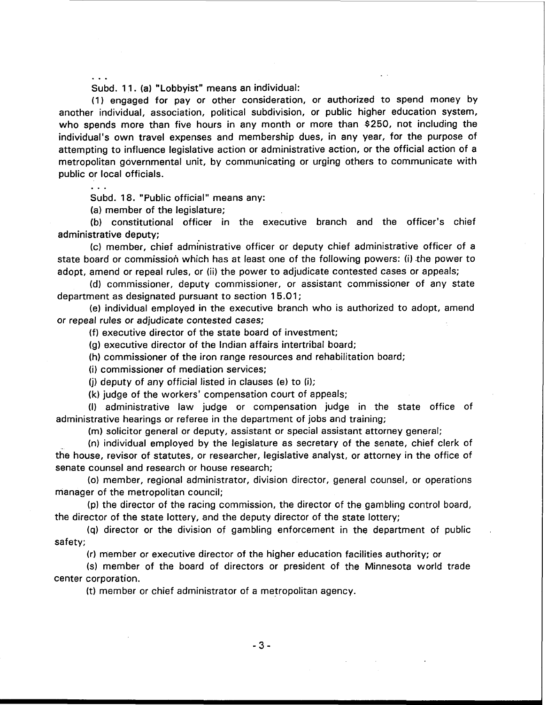... Subd. 11. (a) "Lobbyist" means an individual:

(1) engaged for pay or other consideration, or authorized to spend money by another individual, association, political subdivision, or public higher education system, who spends more than five hours in any month or more than \$250, not including the individual's own travel expenses and membership dues, in any year, for the purpose of attempting to influence legislative action or administrative action, or the official action of a metropolitan governmental unit, by communicating or urging others to communicate with public or local officials. . . .

Subd. **18.** "Public official" means any:

(a) member of the legislature;

(b) constitutional officer in the executive branch and the officer's chief administrative deputy;

(c) member, chief admhistrative officer or deputy chief administrative officer of a state board or commission which has at least one of the following powers: (i) the power to adopt, amend or repeal rules, or (ii) the power to adjudicate contested cases or appeals;

(dl commissioner, deputy commissioner, or assistant commissioner of any state department as designated pursuant to section 15.01;

(el individual employed in the executive branch who is authorized to adopt, amend or repeal rules or adjudicate contested cases;

(f) executive director of the state board of investment;

(g) executive director of the Indian affairs intertribal board;

(h) commissioner of the iron range resources and rehabilitation board;

(i) commissioner of mediation services;

(i) deputy of any official listed in clauses (e) to (i);

(k) judge of the workers' compensation court of appeals;

(I) administrative law judge or compensation judge in the state office of administrative hearings or referee in the department of jobs and training;

(m) solicitor general or deputy, assistant or special assistant attorney general;

(n) individual employed by the legislature as secretary of the senate, chief clerk of the house, revisor of statutes, or researcher, legislative analyst, or attorney in the office of senate counsel and research or house research;

(0) member, regional administrator, division director, general counsel, or operations manager of the metropolitan council;

(p) the director of the racing commission, the director of the gambling control board, the director of the state lottery, and the deputy director of the state lottery;

**(q)** director or the division of gambling enforcement in the department of public safety;

(r) member or executive director of the higher education facilities authority; or

(s) member of the board of directors or president of the Minnesota world trade center corporation.

(t) member or chief administrator of a metropolitan agency.